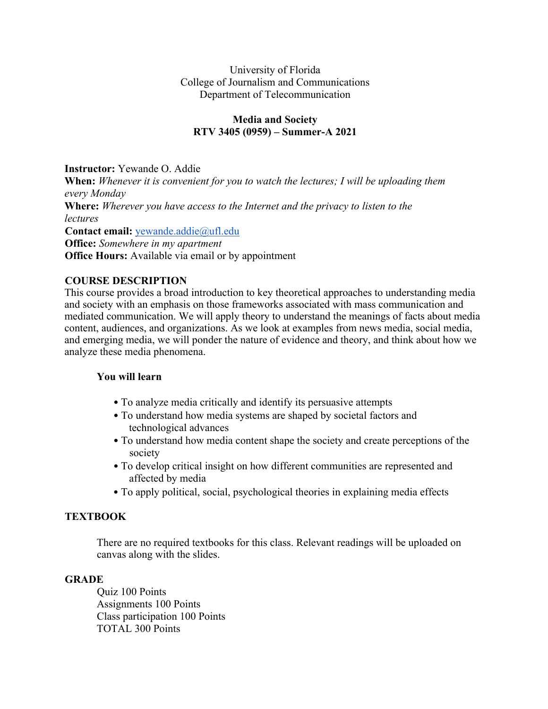### University of Florida College of Journalism and Communications Department of Telecommunication

### **Media and Society RTV 3405 (0959) – Summer-A 2021**

**Instructor:** Yewande O. Addie

**When:** *Whenever it is convenient for you to watch the lectures; I will be uploading them every Monday*  **Where:** *Wherever you have access to the Internet and the privacy to listen to the lectures*  **Contact email:** yewande.addie@ufl.edu **Office:** *Somewhere in my apartment*  **Office Hours:** Available via email or by appointment

## **COURSE DESCRIPTION**

This course provides a broad introduction to key theoretical approaches to understanding media and society with an emphasis on those frameworks associated with mass communication and mediated communication. We will apply theory to understand the meanings of facts about media content, audiences, and organizations. As we look at examples from news media, social media, and emerging media, we will ponder the nature of evidence and theory, and think about how we analyze these media phenomena.

### **You will learn**

- To analyze media critically and identify its persuasive attempts
- To understand how media systems are shaped by societal factors and technological advances
- To understand how media content shape the society and create perceptions of the society
- To develop critical insight on how different communities are represented and affected by media
- To apply political, social, psychological theories in explaining media effects

# **TEXTBOOK**

There are no required textbooks for this class. Relevant readings will be uploaded on canvas along with the slides.

### **GRADE**

Quiz 100 Points Assignments 100 Points Class participation 100 Points TOTAL 300 Points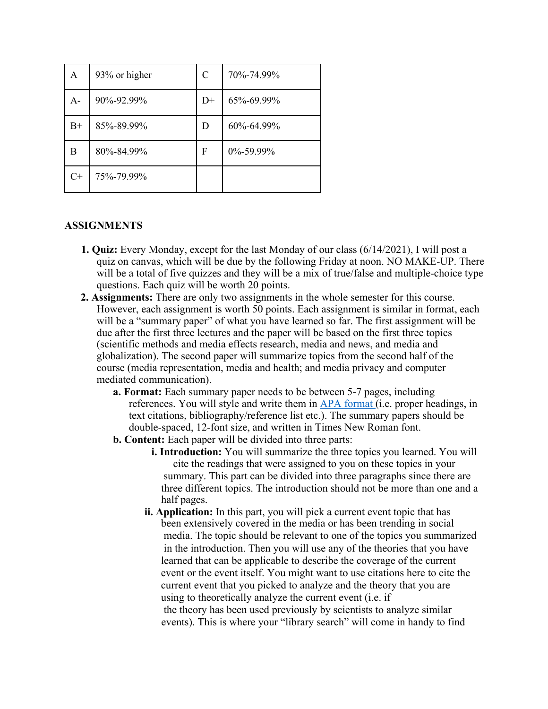| A     | 93% or higher | C    | 70%-74.99%      |
|-------|---------------|------|-----------------|
| $A -$ | 90%-92.99%    | $D+$ | 65%-69.99%      |
| $B+$  | 85%-89.99%    | D    | 60%-64.99%      |
| B     | 80%-84.99%    | F    | $0\% - 59.99\%$ |
| $C+$  | 75%-79.99%    |      |                 |

#### **ASSIGNMENTS**

- **1. Quiz:** Every Monday, except for the last Monday of our class (6/14/2021), I will post a quiz on canvas, which will be due by the following Friday at noon. NO MAKE-UP. There will be a total of five quizzes and they will be a mix of true/false and multiple-choice type questions. Each quiz will be worth 20 points.
- **2. Assignments:** There are only two assignments in the whole semester for this course. However, each assignment is worth 50 points. Each assignment is similar in format, each will be a "summary paper" of what you have learned so far. The first assignment will be due after the first three lectures and the paper will be based on the first three topics (scientific methods and media effects research, media and news, and media and globalization). The second paper will summarize topics from the second half of the course (media representation, media and health; and media privacy and computer mediated communication).
	- **a. Format:** Each summary paper needs to be between 5-7 pages, including references. You will style and write them in APA format (i.e. proper headings, in text citations, bibliography/reference list etc.). The summary papers should be double-spaced, 12-font size, and written in Times New Roman font.
	- **b. Content:** Each paper will be divided into three parts:
		- **i. Introduction:** You will summarize the three topics you learned. You will cite the readings that were assigned to you on these topics in your summary. This part can be divided into three paragraphs since there are three different topics. The introduction should not be more than one and a half pages.
		- **ii. Application:** In this part, you will pick a current event topic that has been extensively covered in the media or has been trending in social media. The topic should be relevant to one of the topics you summarized in the introduction. Then you will use any of the theories that you have learned that can be applicable to describe the coverage of the current event or the event itself. You might want to use citations here to cite the current event that you picked to analyze and the theory that you are using to theoretically analyze the current event (i.e. if the theory has been used previously by scientists to analyze similar events). This is where your "library search" will come in handy to find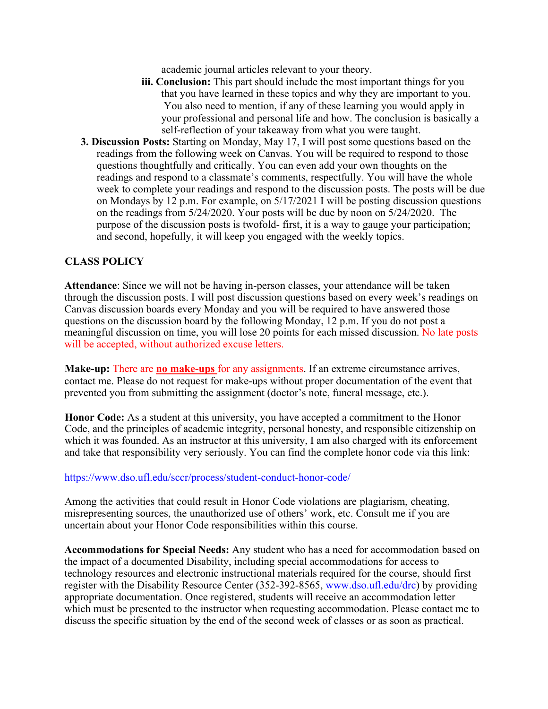academic journal articles relevant to your theory.

- **iii. Conclusion:** This part should include the most important things for you that you have learned in these topics and why they are important to you. You also need to mention, if any of these learning you would apply in your professional and personal life and how. The conclusion is basically a self-reflection of your takeaway from what you were taught.
- **3. Discussion Posts:** Starting on Monday, May 17, I will post some questions based on the readings from the following week on Canvas. You will be required to respond to those questions thoughtfully and critically. You can even add your own thoughts on the readings and respond to a classmate's comments, respectfully. You will have the whole week to complete your readings and respond to the discussion posts. The posts will be due on Mondays by 12 p.m. For example, on 5/17/2021 I will be posting discussion questions on the readings from 5/24/2020. Your posts will be due by noon on 5/24/2020. The purpose of the discussion posts is twofold- first, it is a way to gauge your participation; and second, hopefully, it will keep you engaged with the weekly topics.

#### **CLASS POLICY**

**Attendance**: Since we will not be having in-person classes, your attendance will be taken through the discussion posts. I will post discussion questions based on every week's readings on Canvas discussion boards every Monday and you will be required to have answered those questions on the discussion board by the following Monday, 12 p.m. If you do not post a meaningful discussion on time, you will lose 20 points for each missed discussion. No late posts will be accepted, without authorized excuse letters.

**Make-up:** There are **no make-ups** for any assignments. If an extreme circumstance arrives, contact me. Please do not request for make-ups without proper documentation of the event that prevented you from submitting the assignment (doctor's note, funeral message, etc.).

**Honor Code:** As a student at this university, you have accepted a commitment to the Honor Code, and the principles of academic integrity, personal honesty, and responsible citizenship on which it was founded. As an instructor at this university, I am also charged with its enforcement and take that responsibility very seriously. You can find the complete honor code via this link:

#### https://www.dso.ufl.edu/sccr/process/student-conduct-honor-code/

Among the activities that could result in Honor Code violations are plagiarism, cheating, misrepresenting sources, the unauthorized use of others' work, etc. Consult me if you are uncertain about your Honor Code responsibilities within this course.

**Accommodations for Special Needs:** Any student who has a need for accommodation based on the impact of a documented Disability, including special accommodations for access to technology resources and electronic instructional materials required for the course, should first register with the Disability Resource Center (352-392-8565, www.dso.ufl.edu/drc) by providing appropriate documentation. Once registered, students will receive an accommodation letter which must be presented to the instructor when requesting accommodation. Please contact me to discuss the specific situation by the end of the second week of classes or as soon as practical.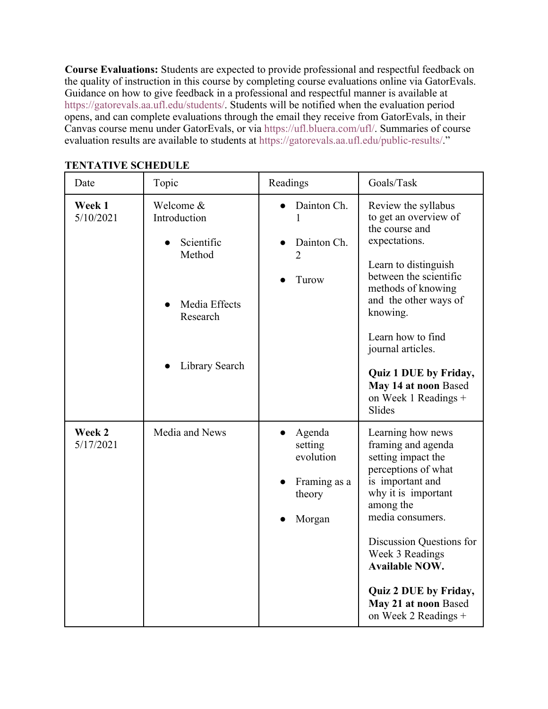**Course Evaluations:** Students are expected to provide professional and respectful feedback on the quality of instruction in this course by completing course evaluations online via GatorEvals. Guidance on how to give feedback in a professional and respectful manner is available at https://gatorevals.aa.ufl.edu/students/. Students will be notified when the evaluation period opens, and can complete evaluations through the email they receive from GatorEvals, in their Canvas course menu under GatorEvals, or via https://ufl.bluera.com/ufl/. Summaries of course evaluation results are available to students at https://gatorevals.aa.ufl.edu/public-results/."

| Date                | Topic                                                                                            | Readings                                                           | Goals/Task                                                                                                                                                                                                                                                                                                                |
|---------------------|--------------------------------------------------------------------------------------------------|--------------------------------------------------------------------|---------------------------------------------------------------------------------------------------------------------------------------------------------------------------------------------------------------------------------------------------------------------------------------------------------------------------|
| Week 1<br>5/10/2021 | Welcome &<br>Introduction<br>Scientific<br>Method<br>Media Effects<br>Research<br>Library Search | Dainton Ch.<br>1<br>Dainton Ch.<br>$\overline{2}$<br>Turow         | Review the syllabus<br>to get an overview of<br>the course and<br>expectations.<br>Learn to distinguish<br>between the scientific<br>methods of knowing<br>and the other ways of<br>knowing.<br>Learn how to find<br>journal articles.<br>Quiz 1 DUE by Friday,<br>May 14 at noon Based<br>on Week 1 Readings +<br>Slides |
| Week 2<br>5/17/2021 | Media and News                                                                                   | Agenda<br>setting<br>evolution<br>Framing as a<br>theory<br>Morgan | Learning how news<br>framing and agenda<br>setting impact the<br>perceptions of what<br>is important and<br>why it is important<br>among the<br>media consumers.<br>Discussion Questions for<br>Week 3 Readings<br><b>Available NOW.</b><br>Quiz 2 DUE by Friday,<br>May 21 at noon Based<br>on Week 2 Readings $+$       |

### **TENTATIVE SCHEDULE**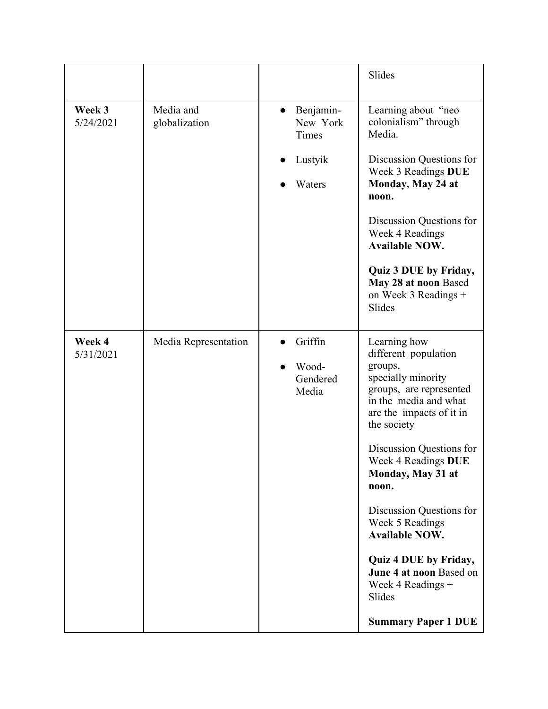|                     |                            |                                                     | Slides                                                                                                                                                                                                                                                                                                                                                                                                                                         |
|---------------------|----------------------------|-----------------------------------------------------|------------------------------------------------------------------------------------------------------------------------------------------------------------------------------------------------------------------------------------------------------------------------------------------------------------------------------------------------------------------------------------------------------------------------------------------------|
| Week 3<br>5/24/2021 | Media and<br>globalization | Benjamin-<br>New York<br>Times<br>Lustyik<br>Waters | Learning about "neo<br>colonialism" through<br>Media.<br>Discussion Questions for<br>Week 3 Readings DUE<br>Monday, May 24 at<br>noon.<br>Discussion Questions for<br>Week 4 Readings<br><b>Available NOW.</b><br>Quiz 3 DUE by Friday,<br>May 28 at noon Based<br>on Week 3 Readings +<br>Slides                                                                                                                                              |
| Week 4<br>5/31/2021 | Media Representation       | Griffin<br>Wood-<br>Gendered<br>Media               | Learning how<br>different population<br>groups,<br>specially minority<br>groups, are represented<br>in the media and what<br>are the impacts of it in<br>the society<br>Discussion Questions for<br>Week 4 Readings DUE<br>Monday, May 31 at<br>noon.<br>Discussion Questions for<br>Week 5 Readings<br><b>Available NOW.</b><br>Quiz 4 DUE by Friday,<br>June 4 at noon Based on<br>Week 4 Readings +<br>Slides<br><b>Summary Paper 1 DUE</b> |